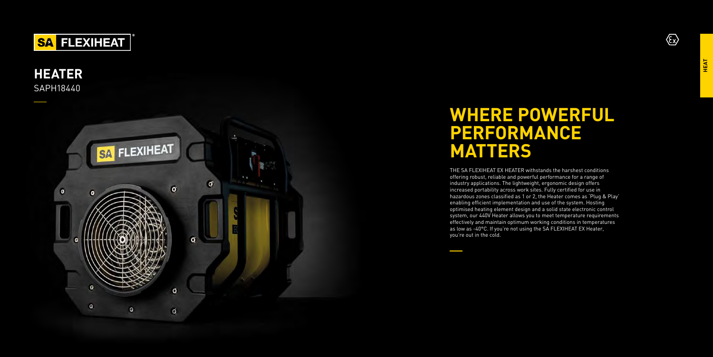

## **HEATER**  SAPH18440



# WHERE POWERFUL **PERFORMA NCE MATTERS**

THE SA FLEXIHEAT EX HEATER withstands the harshest conditions offering robust, reliable and powerful performance for a range of industry applications. The lightweight, ergonomic design offers increased portability across work sites. Fully certified for use in hazardous zones classified as 1 or 2, the Heater comes as 'Plug & Play' enabling efficient implementation and use of the system. Hosting optimised heating element design and a solid state electronic control system, our 440V Heater allows you to meet temperature requirements effectively and maintain optimum working conditions in temperatures as low as -40°C. If you're not using the SA FLEXIHEAT EX Heater, you're out in the cold.